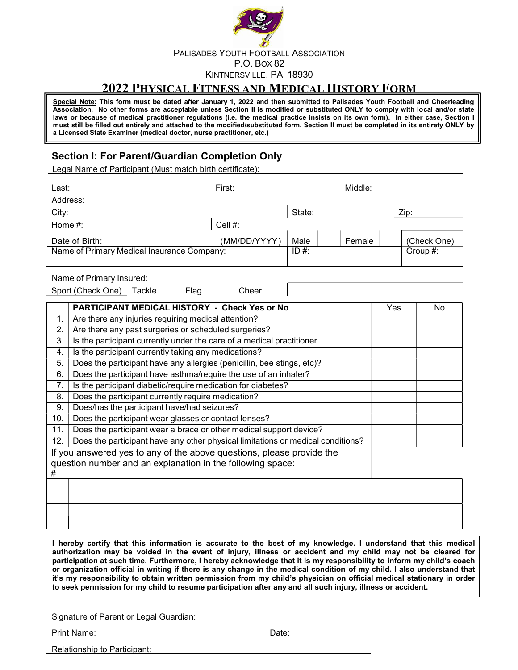

## 2022 PHYSICAL FITNESS AND MEDICAL HISTORY FORM

Special Note: This form must be dated after January 1, 2022 and then submitted to Palisades Youth Football and Cheerleading Association. No other forms are acceptable unless Section II is modified or substituted ONLY to comply with local and/or state laws or because of medical practitioner regulations (i.e. the medical practice insists on its own form). In either case, Section I must still be filled out entirely and attached to the modified/substituted form. Section II must be completed in its entirety ONLY by a Licensed State Examiner (medical doctor, nurse practitioner, etc.)

### Section I: For Parent/Guardian Completion Only

Legal Name of Participant (Must match birth certificate):

| Last:                                      | Middle:<br>First: |        |  |        |             |  |
|--------------------------------------------|-------------------|--------|--|--------|-------------|--|
| Address:                                   |                   |        |  |        |             |  |
| City:                                      |                   | State: |  |        | Zip:        |  |
| Home $#$ :                                 | Cell $#$ :        |        |  |        |             |  |
| Date of Birth:                             | (MM/DD/YYYY)      | Male   |  | Female | (Check One) |  |
| Name of Primary Medical Insurance Company: |                   |        |  |        | Group #:    |  |
|                                            |                   |        |  |        |             |  |

### Name of Primary Insured:

Sport (Check One) | Tackle | Flag | Cheer

|     | <b>PARTICIPANT MEDICAL HISTORY - Check Yes or No</b>                                                                                | Yes. | No. |
|-----|-------------------------------------------------------------------------------------------------------------------------------------|------|-----|
|     | Are there any injuries requiring medical attention?                                                                                 |      |     |
| 2.  | Are there any past surgeries or scheduled surgeries?                                                                                |      |     |
| 3.  | Is the participant currently under the care of a medical practitioner                                                               |      |     |
| 4.  | Is the participant currently taking any medications?                                                                                |      |     |
| 5.  | Does the participant have any allergies (penicillin, bee stings, etc)?                                                              |      |     |
| 6.  | Does the participant have asthma/require the use of an inhaler?                                                                     |      |     |
|     | Is the participant diabetic/require medication for diabetes?                                                                        |      |     |
| 8.  | Does the participant currently require medication?                                                                                  |      |     |
| 9.  | Does/has the participant have/had seizures?                                                                                         |      |     |
| 10. | Does the participant wear glasses or contact lenses?                                                                                |      |     |
| 11. | Does the participant wear a brace or other medical support device?                                                                  |      |     |
| 12. | Does the participant have any other physical limitations or medical conditions?                                                     |      |     |
| #   | If you answered yes to any of the above questions, please provide the<br>question number and an explanation in the following space: |      |     |
|     |                                                                                                                                     |      |     |

I hereby certify that this information is accurate to the best of my knowledge. I understand that this medical authorization may be voided in the event of injury, illness or accident and my child may not be cleared for participation at such time. Furthermore, I hereby acknowledge that it is my responsibility to inform my child's coach or organization official in writing if there is any change in the medical condition of my child. I also understand that it's my responsibility to obtain written permission from my child's physician on official medical stationary in order to seek permission for my child to resume participation after any and all such injury, illness or accident.

Signature of Parent or Legal Guardian:

Print Name: Date: Date: Date: Date: Date: Date: Date: Date: Date: Date: Date: Date: Date: Date: Date: Date: Date: Date: Date: Date: Date: Date: Date: Date: Date: Date: Date: Date: Date: Date: Date: Date: Date: Date: Date: